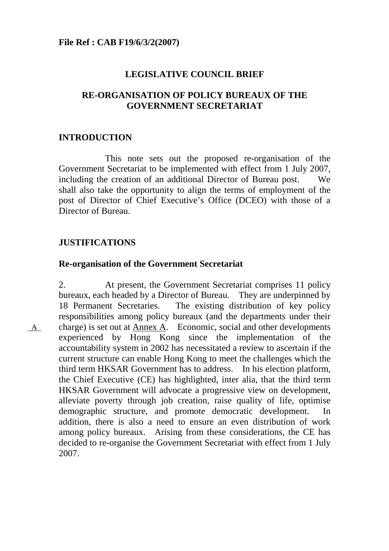## **LEGISLATIVE COUNCIL BRIEF**

## **RE-ORGANISATION OF POLICY BUREAUX OF THE GOVERNMENT SECRETARIAT**

### **INTRODUCTION**

 This note sets out the proposed re-organisation of the Government Secretariat to be implemented with effect from 1 July 2007, including the creation of an additional Director of Bureau post. We shall also take the opportunity to align the terms of employment of the post of Director of Chief Executive's Office (DCEO) with those of a Director of Bureau.

### **JUSTIFICATIONS**

A

#### **Re-organisation of the Government Secretariat**

2. At present, the Government Secretariat comprises 11 policy bureaux, each headed by a Director of Bureau. They are underpinned by 18 Permanent Secretaries. The existing distribution of key policy responsibilities among policy bureaux (and the departments under their charge) is set out at Annex A. Economic, social and other developments experienced by Hong Kong since the implementation of the accountability system in 2002 has necessitated a review to ascertain if the current structure can enable Hong Kong to meet the challenges which the third term HKSAR Government has to address. In his election platform, the Chief Executive (CE) has highlighted, inter alia, that the third term HKSAR Government will advocate a progressive view on development, alleviate poverty through job creation, raise quality of life, optimise demographic structure, and promote democratic development. In addition, there is also a need to ensure an even distribution of work among policy bureaux. Arising from these considerations, the CE has decided to re-organise the Government Secretariat with effect from 1 July 2007.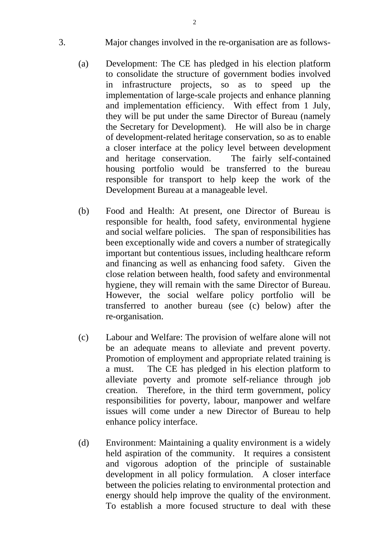- 3. Major changes involved in the re-organisation are as follows-
	- (a) Development: The CE has pledged in his election platform to consolidate the structure of government bodies involved in infrastructure projects, so as to speed up the implementation of large-scale projects and enhance planning and implementation efficiency. With effect from 1 July, they will be put under the same Director of Bureau (namely the Secretary for Development). He will also be in charge of development-related heritage conservation, so as to enable a closer interface at the policy level between development and heritage conservation. The fairly self-contained housing portfolio would be transferred to the bureau responsible for transport to help keep the work of the Development Bureau at a manageable level.
	- (b) Food and Health: At present, one Director of Bureau is responsible for health, food safety, environmental hygiene and social welfare policies. The span of responsibilities has been exceptionally wide and covers a number of strategically important but contentious issues, including healthcare reform and financing as well as enhancing food safety. Given the close relation between health, food safety and environmental hygiene, they will remain with the same Director of Bureau. However, the social welfare policy portfolio will be transferred to another bureau (see (c) below) after the re-organisation.
	- (c) Labour and Welfare: The provision of welfare alone will not be an adequate means to alleviate and prevent poverty. Promotion of employment and appropriate related training is a must. The CE has pledged in his election platform to alleviate poverty and promote self-reliance through job creation. Therefore, in the third term government, policy responsibilities for poverty, labour, manpower and welfare issues will come under a new Director of Bureau to help enhance policy interface.
	- (d) Environment: Maintaining a quality environment is a widely held aspiration of the community. It requires a consistent and vigorous adoption of the principle of sustainable development in all policy formulation. A closer interface between the policies relating to environmental protection and energy should help improve the quality of the environment. To establish a more focused structure to deal with these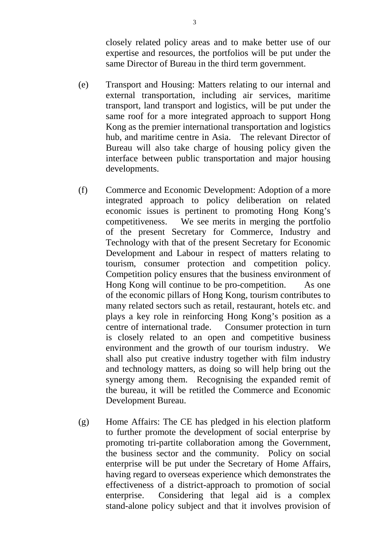closely related policy areas and to make better use of our expertise and resources, the portfolios will be put under the same Director of Bureau in the third term government.

- (e) Transport and Housing: Matters relating to our internal and external transportation, including air services, maritime transport, land transport and logistics, will be put under the same roof for a more integrated approach to support Hong Kong as the premier international transportation and logistics hub, and maritime centre in Asia. The relevant Director of Bureau will also take charge of housing policy given the interface between public transportation and major housing developments.
- (f) Commerce and Economic Development: Adoption of a more integrated approach to policy deliberation on related economic issues is pertinent to promoting Hong Kong's competitiveness. We see merits in merging the portfolio of the present Secretary for Commerce, Industry and Technology with that of the present Secretary for Economic Development and Labour in respect of matters relating to tourism, consumer protection and competition policy. Competition policy ensures that the business environment of Hong Kong will continue to be pro-competition. As one of the economic pillars of Hong Kong, tourism contributes to many related sectors such as retail, restaurant, hotels etc. and plays a key role in reinforcing Hong Kong's position as a centre of international trade. Consumer protection in turn is closely related to an open and competitive business environment and the growth of our tourism industry. We shall also put creative industry together with film industry and technology matters, as doing so will help bring out the synergy among them. Recognising the expanded remit of the bureau, it will be retitled the Commerce and Economic Development Bureau.
- (g) Home Affairs: The CE has pledged in his election platform to further promote the development of social enterprise by promoting tri-partite collaboration among the Government, the business sector and the community. Policy on social enterprise will be put under the Secretary of Home Affairs, having regard to overseas experience which demonstrates the effectiveness of a district-approach to promotion of social enterprise. Considering that legal aid is a complex stand-alone policy subject and that it involves provision of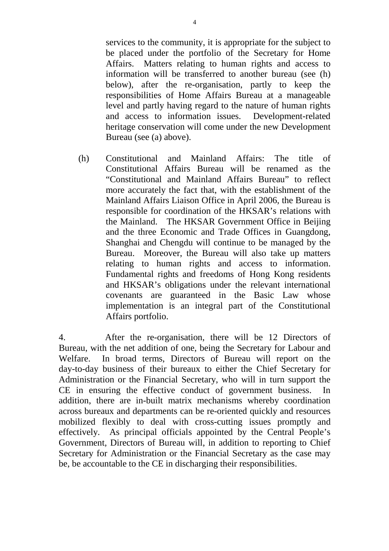services to the community, it is appropriate for the subject to be placed under the portfolio of the Secretary for Home Affairs. Matters relating to human rights and access to information will be transferred to another bureau (see (h) below), after the re-organisation, partly to keep the responsibilities of Home Affairs Bureau at a manageable level and partly having regard to the nature of human rights and access to information issues. Development-related heritage conservation will come under the new Development Bureau (see (a) above).

(h) Constitutional and Mainland Affairs: The title of Constitutional Affairs Bureau will be renamed as the "Constitutional and Mainland Affairs Bureau" to reflect more accurately the fact that, with the establishment of the Mainland Affairs Liaison Office in April 2006, the Bureau is responsible for coordination of the HKSAR's relations with the Mainland. The HKSAR Government Office in Beijing and the three Economic and Trade Offices in Guangdong, Shanghai and Chengdu will continue to be managed by the Bureau. Moreover, the Bureau will also take up matters relating to human rights and access to information. Fundamental rights and freedoms of Hong Kong residents and HKSAR's obligations under the relevant international covenants are guaranteed in the Basic Law whose implementation is an integral part of the Constitutional Affairs portfolio.

4. After the re-organisation, there will be 12 Directors of Bureau, with the net addition of one, being the Secretary for Labour and Welfare. In broad terms, Directors of Bureau will report on the day-to-day business of their bureaux to either the Chief Secretary for Administration or the Financial Secretary, who will in turn support the CE in ensuring the effective conduct of government business. In addition, there are in-built matrix mechanisms whereby coordination across bureaux and departments can be re-oriented quickly and resources mobilized flexibly to deal with cross-cutting issues promptly and effectively. As principal officials appointed by the Central People's Government, Directors of Bureau will, in addition to reporting to Chief Secretary for Administration or the Financial Secretary as the case may be, be accountable to the CE in discharging their responsibilities.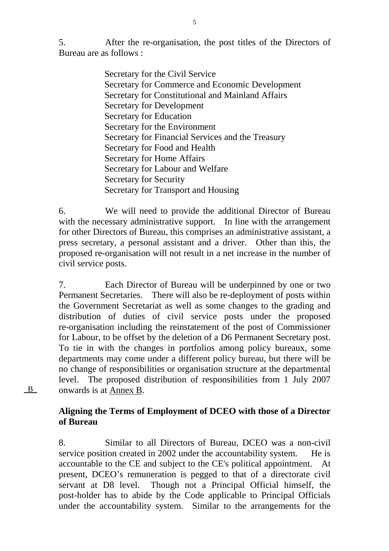5. After the re-organisation, the post titles of the Directors of Bureau are as follows :

> Secretary for the Civil Service Secretary for Commerce and Economic Development Secretary for Constitutional and Mainland Affairs Secretary for Development Secretary for Education Secretary for the Environment Secretary for Financial Services and the Treasury Secretary for Food and Health Secretary for Home Affairs Secretary for Labour and Welfare Secretary for Security Secretary for Transport and Housing

6. We will need to provide the additional Director of Bureau with the necessary administrative support. In line with the arrangement for other Directors of Bureau, this comprises an administrative assistant, a press secretary, a personal assistant and a driver. Other than this, the proposed re-organisation will not result in a net increase in the number of civil service posts.

7. Each Director of Bureau will be underpinned by one or two Permanent Secretaries. There will also be re-deployment of posts within the Government Secretariat as well as some changes to the grading and distribution of duties of civil service posts under the proposed re-organisation including the reinstatement of the post of Commissioner for Labour, to be offset by the deletion of a D6 Permanent Secretary post. To tie in with the changes in portfolios among policy bureaux, some departments may come under a different policy bureau, but there will be no change of responsibilities or organisation structure at the departmental level. The proposed distribution of responsibilities from 1 July 2007 onwards is at Annex B.

**Aligning the Terms of Employment of DCEO with those of a Director of Bureau** 

8. Similar to all Directors of Bureau, DCEO was a non-civil service position created in 2002 under the accountability system. He is accountable to the CE and subject to the CE's political appointment. At present, DCEO's remuneration is pegged to that of a directorate civil servant at D8 level. Though not a Principal Official himself, the post-holder has to abide by the Code applicable to Principal Officials under the accountability system. Similar to the arrangements for the

5

B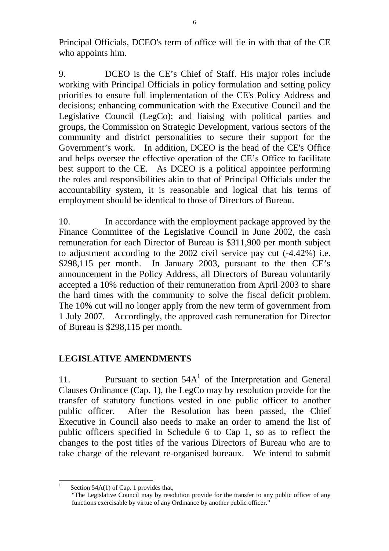Principal Officials, DCEO's term of office will tie in with that of the CE who appoints him.

9. DCEO is the CE's Chief of Staff. His major roles include working with Principal Officials in policy formulation and setting policy priorities to ensure full implementation of the CE's Policy Address and decisions; enhancing communication with the Executive Council and the Legislative Council (LegCo); and liaising with political parties and groups, the Commission on Strategic Development, various sectors of the community and district personalities to secure their support for the Government's work. In addition, DCEO is the head of the CE's Office and helps oversee the effective operation of the CE's Office to facilitate best support to the CE. As DCEO is a political appointee performing the roles and responsibilities akin to that of Principal Officials under the accountability system, it is reasonable and logical that his terms of employment should be identical to those of Directors of Bureau.

10. In accordance with the employment package approved by the Finance Committee of the Legislative Council in June 2002, the cash remuneration for each Director of Bureau is \$311,900 per month subject to adjustment according to the 2002 civil service pay cut (-4.42%) i.e. \$298,115 per month. In January 2003, pursuant to the then CE's announcement in the Policy Address, all Directors of Bureau voluntarily accepted a 10% reduction of their remuneration from April 2003 to share the hard times with the community to solve the fiscal deficit problem. The 10% cut will no longer apply from the new term of government from 1 July 2007. Accordingly, the approved cash remuneration for Director of Bureau is \$298,115 per month.

# **LEGISLATIVE AMENDMENTS**

11. Pursuant to section  $54A<sup>1</sup>$  of the Interpretation and General Clauses Ordinance (Cap. 1), the LegCo may by resolution provide for the transfer of statutory functions vested in one public officer to another public officer. After the Resolution has been passed, the Chief Executive in Council also needs to make an order to amend the list of public officers specified in Schedule 6 to Cap 1, so as to reflect the changes to the post titles of the various Directors of Bureau who are to take charge of the relevant re-organised bureaux. We intend to submit

l 1 Section 54A(1) of Cap. 1 provides that,

<sup>&</sup>quot;The Legislative Council may by resolution provide for the transfer to any public officer of any functions exercisable by virtue of any Ordinance by another public officer."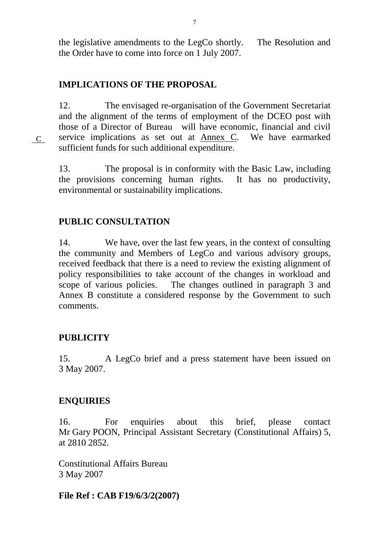the legislative amendments to the LegCo shortly. The Resolution and the Order have to come into force on 1 July 2007.

## **IMPLICATIONS OF THE PROPOSAL**

12. The envisaged re-organisation of the Government Secretariat and the alignment of the terms of employment of the DCEO post with those of a Director of Bureau will have economic, financial and civil service implications as set out at Annex C. We have earmarked sufficient funds for such additional expenditure.

13. The proposal is in conformity with the Basic Law, including the provisions concerning human rights. It has no productivity, environmental or sustainability implications.

### **PUBLIC CONSULTATION**

14. We have, over the last few years, in the context of consulting the community and Members of LegCo and various advisory groups, received feedback that there is a need to review the existing alignment of policy responsibilities to take account of the changes in workload and scope of various policies. The changes outlined in paragraph 3 and Annex B constitute a considered response by the Government to such comments.

#### **PUBLICITY**

C

15. A LegCo brief and a press statement have been issued on 3 May 2007.

#### **ENQUIRIES**

16. For enquiries about this brief, please contact Mr Gary POON, Principal Assistant Secretary (Constitutional Affairs) 5, at 2810 2852.

Constitutional Affairs Bureau 3 May 2007

#### **File Ref : CAB F19/6/3/2(2007)**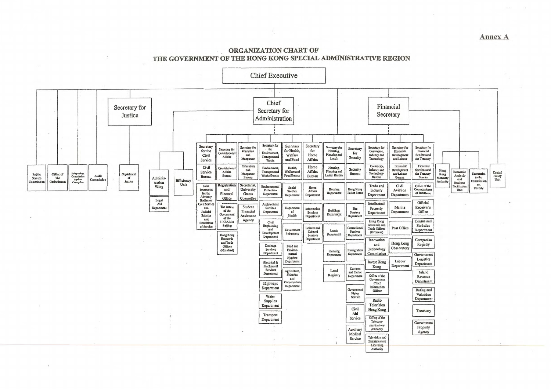#### **Annex A**

#### ORGANIZATION CHART OF THE GOVERNMENT OF THE HONG KONG SPECIAL ADMINISTRATIVE REGION

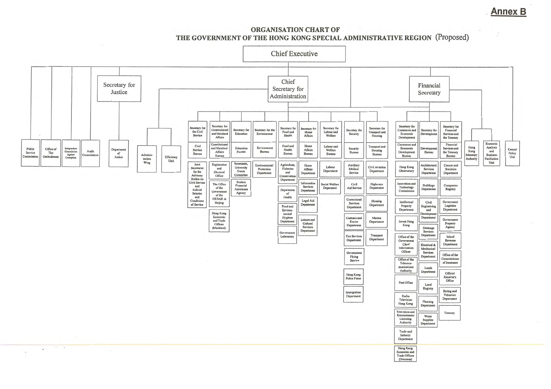**Annex B** 

 $\hat{\cdot}$ 

#### ORGANISATION CHART OF THE GOVERNMENT OF THE HONG KONG SPECIAL ADMINISTRATIVE REGION (Proposed)